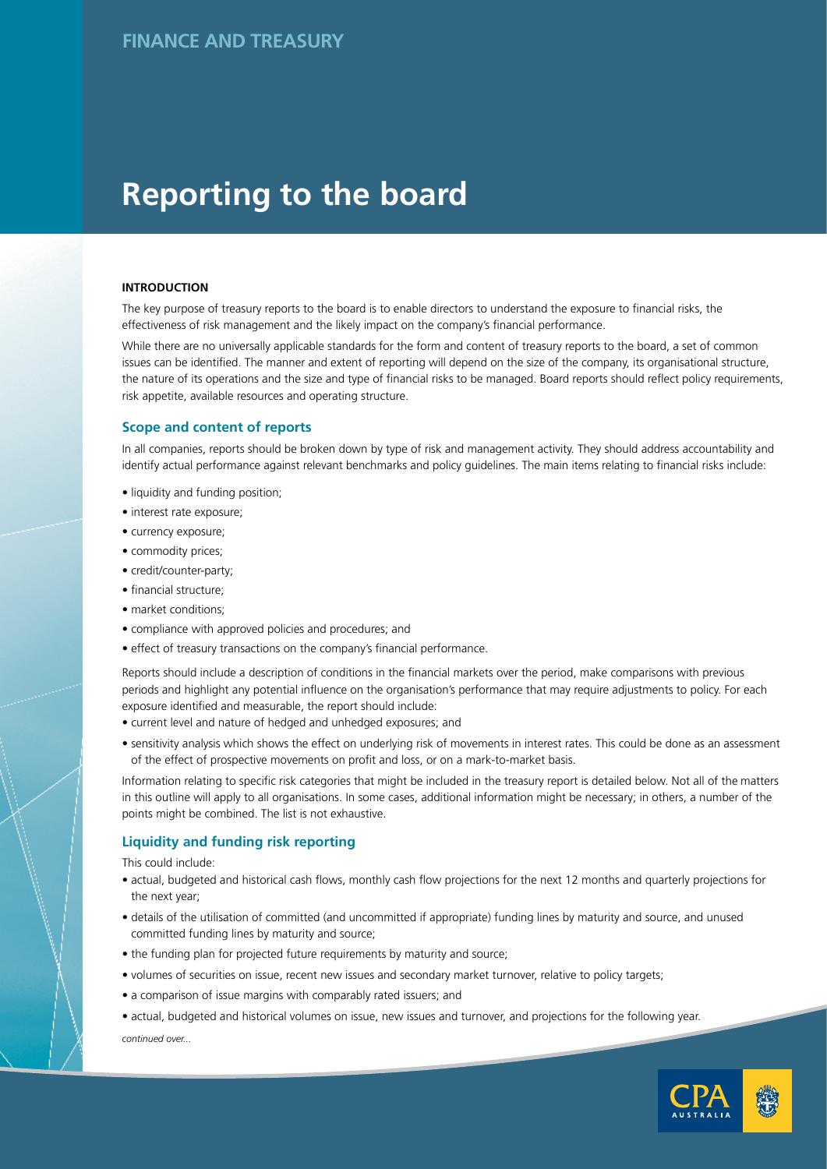# **Reporting to the board**

#### **INTRODUCTION**

The key purpose of treasury reports to the board is to enable directors to understand the exposure to financial risks, the effectiveness of risk management and the likely impact on the company's financial performance.

While there are no universally applicable standards for the form and content of treasury reports to the board, a set of common issues can be identified. The manner and extent of reporting will depend on the size of the company, its organisational structure, the nature of its operations and the size and type of financial risks to be managed. Board reports should reflect policy requirements, risk appetite, available resources and operating structure.

## **Scope and content of reports**

In all companies, reports should be broken down by type of risk and management activity. They should address accountability and identify actual performance against relevant benchmarks and policy guidelines. The main items relating to financial risks include:

- liquidity and funding position;
- interest rate exposure;
- currency exposure;
- commodity prices;
- credit/counter-party;
- financial structure;
- market conditions;
- market conditions,<br>• compliance with approved policies and procedures; and
- effect of treasury transactions on the company's financial performance.

Reports should include a description of conditions in the financial markets over the period, make comparisons with previous periods and highlight any potential influence on the organisation's performance that may require adjustments to policy. For each exposure identified and measurable, the report should include:

- current level and nature of hedged and unhedged exposures; and
- sensitivity analysis which shows the effect on underlying risk of movements in interest rates. This could be done as an assessment of the effect of prospective movements on profit and loss, or on a mark-to-market basis.

Information relating to specific risk categories that might be included in the treasury report is detailed below. Not all of the matters in this outline will apply to all organisations. In some cases, additional information might be necessary; in others, a number of the points might be combined. The list is not exhaustive.

## **Liquidity and funding risk reporting**

This could include:

- actual, budgeted and historical cash flows, monthly cash flow projections for the next 12 months and quarterly projections for the next year;
- details of the utilisation of committed (and uncommitted if appropriate) funding lines by maturity and source, and unused committed funding lines by maturity and source;
- the funding plan for projected future requirements by maturity and source;
- volumes of securities on issue, recent new issues and secondary market turnover, relative to policy targets;
- a comparison of issue margins with comparably rated issuers; and

*continued over...* • actual, budgeted and historical volumes on issue, new issues and turnover, and projections for the following year.

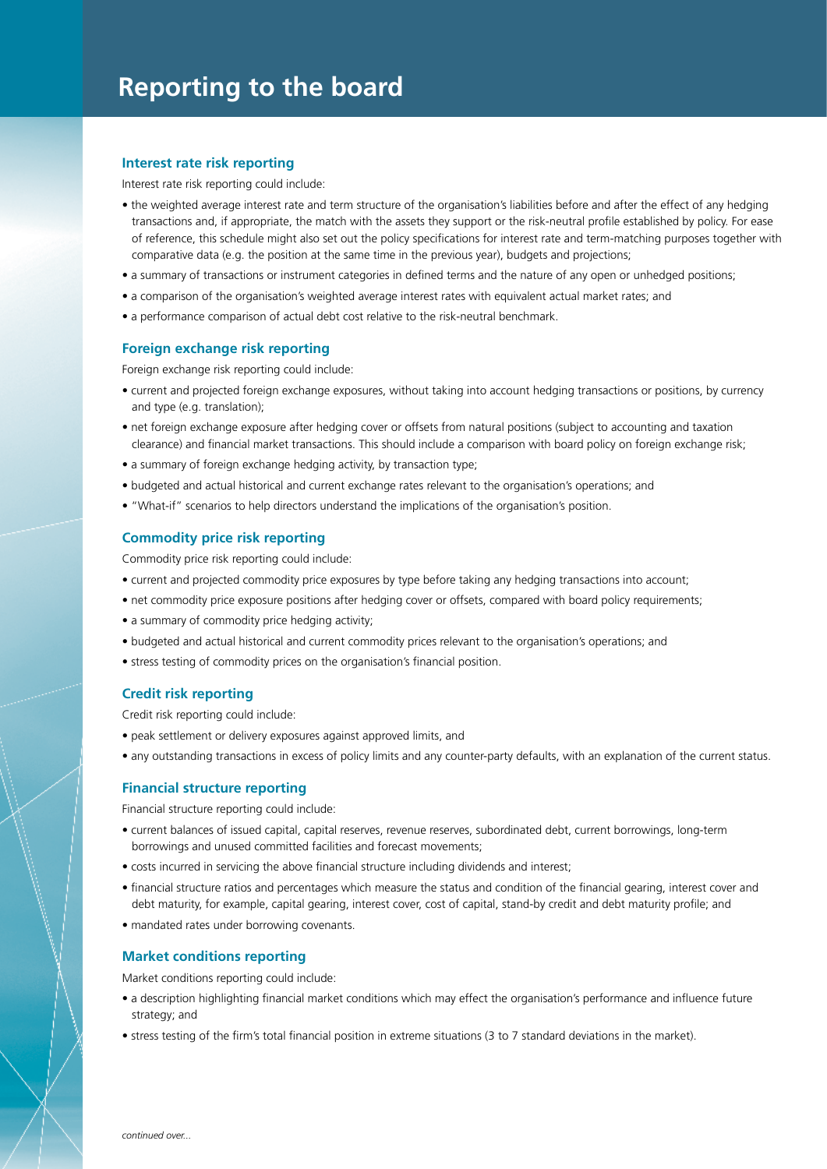#### **Interest rate risk reporting**

Interest rate risk reporting could include:

- the weighted average interest rate and term structure of the organisation's liabilities before and after the effect of any hedging transactions and, if appropriate, the match with the assets they support or the risk-neutral profile established by policy. For ease of reference, this schedule might also set out the policy specifications for interest rate and term-matching purposes together with comparative data (e.g. the position at the same time in the previous year), budgets and projections;
- a summary of transactions or instrument categories in defined terms and the nature of any open or unhedged positions;
- a comparison of the organisation's weighted average interest rates with equivalent actual market rates; and
- a performance comparison of actual debt cost relative to the risk-neutral benchmark.

#### **Foreign exchange risk reporting**

Foreign exchange risk reporting could include:

- current and projected foreign exchange exposures, without taking into account hedging transactions or positions, by currency and type (e.g. translation);
- net foreign exchange exposure after hedging cover or offsets from natural positions (subject to accounting and taxation clearance) and financial market transactions. This should include a comparison with board policy on foreign exchange risk;
- a summary of foreign exchange hedging activity, by transaction type;
- budgeted and actual historical and current exchange rates relevant to the organisation's operations; and
- "What-if" scenarios to help directors understand the implications of the organisation's position.

#### **Commodity price risk reporting**

Commodity price risk reporting could include:

- current and projected commodity price exposures by type before taking any hedging transactions into account;
- net commodity price exposure positions after hedging cover or offsets, compared with board policy requirements;
- a summary of commodity price hedging activity;
- budgeted and actual historical and current commodity prices relevant to the organisation's operations; and
- stress testing of commodity prices on the organisation's financial position.

### **Credit risk reporting**

Credit risk reporting could include:

- peak settlement or delivery exposures against approved limits, and
- any outstanding transactions in excess of policy limits and any counter-party defaults, with an explanation of the current status.

#### **Financial structure reporting**

Financial structure reporting could include:

- current balances of issued capital, capital reserves, revenue reserves, subordinated debt, current borrowings, long-term borrowings and unused committed facilities and forecast movements;
- costs incurred in servicing the above financial structure including dividends and interest;
- financial structure ratios and percentages which measure the status and condition of the financial gearing, interest cover and debt maturity, for example, capital gearing, interest cover, cost of capital, stand-by credit and debt maturity profile; and
- mandated rates under borrowing covenants.

#### **Market conditions reporting**

Market conditions reporting could include:

- a description highlighting financial market conditions which may effect the organisation's performance and influence future strategy; and
- stress testing of the firm's total financial position in extreme situations (3 to 7 standard deviations in the market).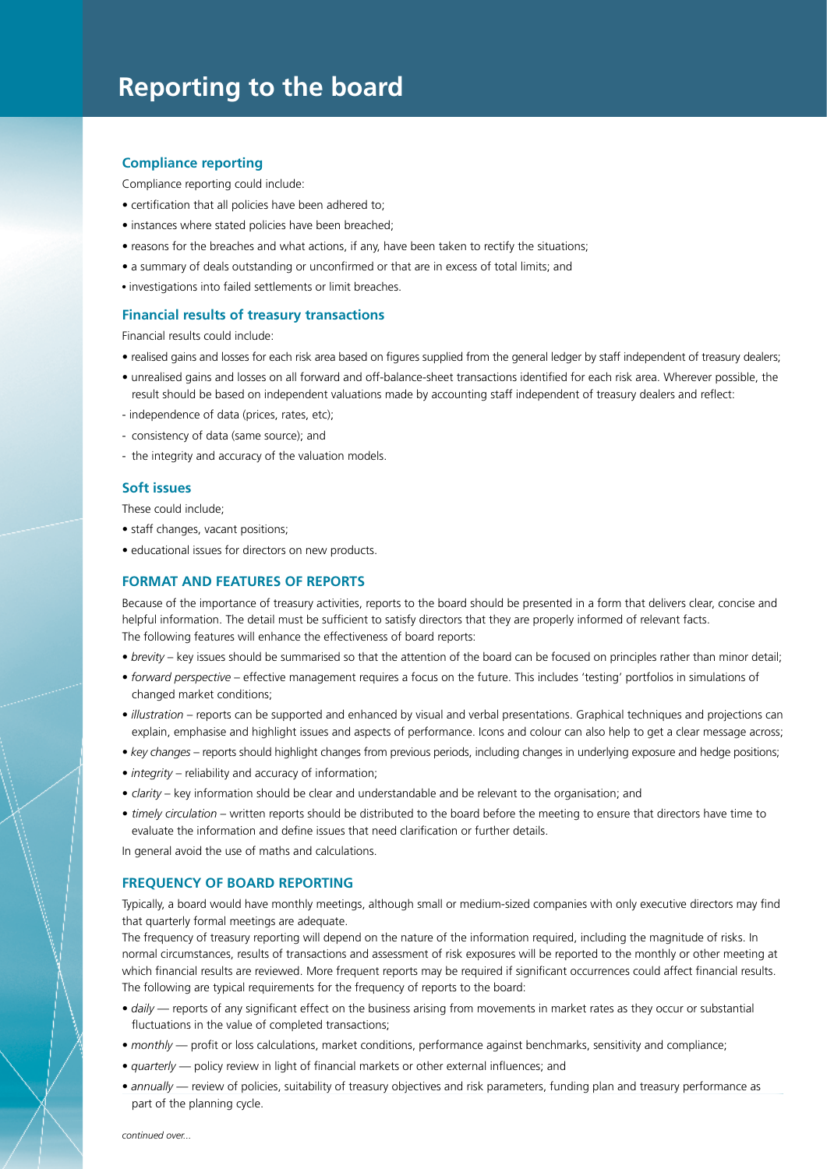## **Reporting to the board**

#### **Compliance reporting**

Compliance reporting could include:

- certification that all policies have been adhered to;
- instances where stated policies have been breached;
- reasons for the breaches and what actions, if any, have been taken to rectify the situations;
- a summary of deals outstanding or unconfirmed or that are in excess of total limits; and
- investigations into failed settlements or limit breaches.

#### **Financial results of treasury transactions**

Financial results could include:

- realised gains and losses for each risk area based on figures supplied from the general ledger by staff independent of treasury dealers;
- unrealised gains and losses on all forward and off-balance-sheet transactions identified for each risk area. Wherever possible, the result should be based on independent valuations made by accounting staff independent of treasury dealers and reflect:
- independence of data (prices, rates, etc);
- consistency of data (same source); and
- the integrity and accuracy of the valuation models.

#### **Soft issues**

These could include;

- staff changes, vacant positions;
- educational issues for directors on new products.

#### **FORMAT AND FEATURES OF REPORTS**

Because of the importance of treasury activities, reports to the board should be presented in a form that delivers clear, concise and helpful information. The detail must be sufficient to satisfy directors that they are properly informed of relevant facts. The following features will enhance the effectiveness of board reports:

- *brevity* key issues should be summarised so that the attention of the board can be focused on principles rather than minor detail;
- *forward perspective*  effective management requires a focus on the future. This includes 'testing' portfolios in simulations of changed market conditions;
- *illustration*  reports can be supported and enhanced by visual and verbal presentations. Graphical techniques and projections can explain, emphasise and highlight issues and aspects of performance. Icons and colour can also help to get a clear message across;
- *key changes*  reports should highlight changes from previous periods, including changes in underlying exposure and hedge positions;
- *integrity*  reliability and accuracy of information;
- *clarity*  key information should be clear and understandable and be relevant to the organisation; and
- *timely circulation*  written reports should be distributed to the board before the meeting to ensure that directors have time to evaluate the information and define issues that need clarification or further details.

In general avoid the use of maths and calculations.

#### **FREQUENCY OF BOARD REPORTING**

Typically, a board would have monthly meetings, although small or medium-sized companies with only executive directors may find that quarterly formal meetings are adequate.

The frequency of treasury reporting will depend on the nature of the information required, including the magnitude of risks. In normal circumstances, results of transactions and assessment of risk exposures will be reported to the monthly or other meeting at which financial results are reviewed. More frequent reports may be required if significant occurrences could affect financial results. The following are typical requirements for the frequency of reports to the board:

- *daily* reports of any significant effect on the business arising from movements in market rates as they occur or substantial fluctuations in the value of completed transactions;
- *monthly* profit or loss calculations, market conditions, performance against benchmarks, sensitivity and compliance;
- *quarterly* policy review in light of financial markets or other external influences; and
- *annually* review of policies, suitability of treasury objectives and risk parameters, funding plan and treasury performance as part of the planning cycle.